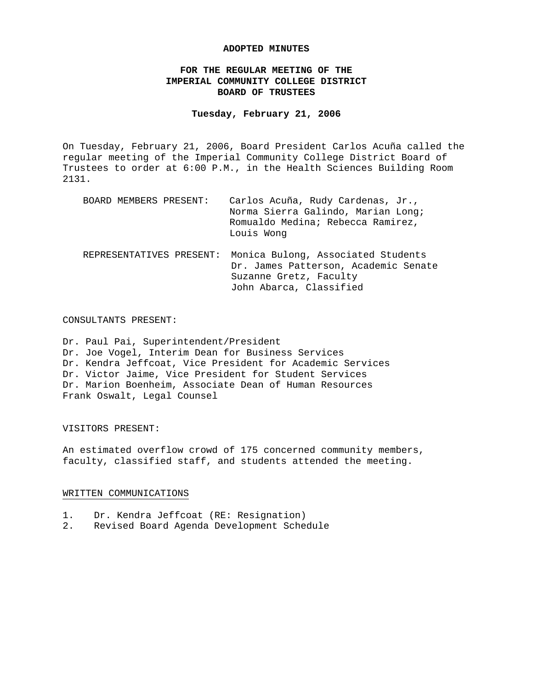### **ADOPTED MINUTES**

# **FOR THE REGULAR MEETING OF THE IMPERIAL COMMUNITY COLLEGE DISTRICT BOARD OF TRUSTEES**

## **Tuesday, February 21, 2006**

On Tuesday, February 21, 2006, Board President Carlos Acuña called the regular meeting of the Imperial Community College District Board of Trustees to order at 6:00 P.M., in the Health Sciences Building Room 2131.

| BOARD MEMBERS PRESENT:   | Carlos Acuña, Rudy Cardenas, Jr.,<br>Norma Sierra Galindo, Marian Long;<br>Romualdo Medina; Rebecca Ramirez,<br>Louis Wong      |
|--------------------------|---------------------------------------------------------------------------------------------------------------------------------|
| REPRESENTATIVES PRESENT: | Monica Bulong, Associated Students<br>Dr. James Patterson, Academic Senate<br>Suzanne Gretz, Faculty<br>John Abarca, Classified |

#### CONSULTANTS PRESENT:

Dr. Paul Pai, Superintendent/President Dr. Joe Vogel, Interim Dean for Business Services Dr. Kendra Jeffcoat, Vice President for Academic Services Dr. Victor Jaime, Vice President for Student Services Dr. Marion Boenheim, Associate Dean of Human Resources Frank Oswalt, Legal Counsel

### VISITORS PRESENT:

An estimated overflow crowd of 175 concerned community members, faculty, classified staff, and students attended the meeting.

#### WRITTEN COMMUNICATIONS

- 1. Dr. Kendra Jeffcoat (RE: Resignation)
- 2. Revised Board Agenda Development Schedule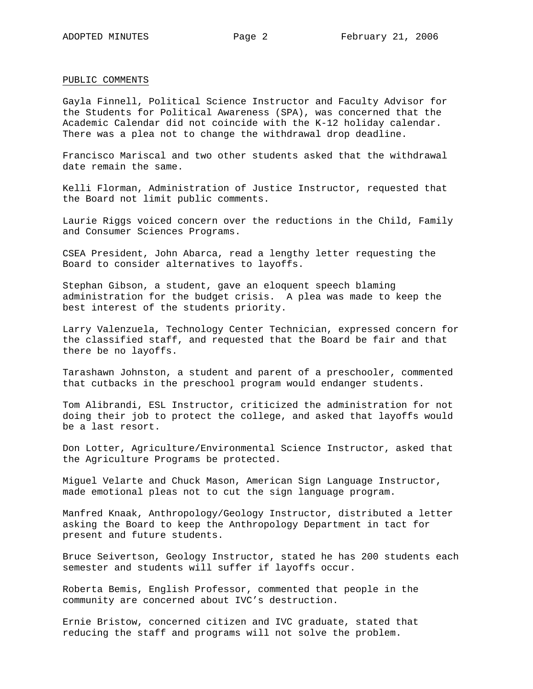#### PUBLIC COMMENTS

Gayla Finnell, Political Science Instructor and Faculty Advisor for the Students for Political Awareness (SPA), was concerned that the Academic Calendar did not coincide with the K-12 holiday calendar. There was a plea not to change the withdrawal drop deadline.

Francisco Mariscal and two other students asked that the withdrawal date remain the same.

Kelli Florman, Administration of Justice Instructor, requested that the Board not limit public comments.

Laurie Riggs voiced concern over the reductions in the Child, Family and Consumer Sciences Programs.

CSEA President, John Abarca, read a lengthy letter requesting the Board to consider alternatives to layoffs.

Stephan Gibson, a student, gave an eloquent speech blaming administration for the budget crisis. A plea was made to keep the best interest of the students priority.

Larry Valenzuela, Technology Center Technician, expressed concern for the classified staff, and requested that the Board be fair and that there be no layoffs.

Tarashawn Johnston, a student and parent of a preschooler, commented that cutbacks in the preschool program would endanger students.

Tom Alibrandi, ESL Instructor, criticized the administration for not doing their job to protect the college, and asked that layoffs would be a last resort.

Don Lotter, Agriculture/Environmental Science Instructor, asked that the Agriculture Programs be protected.

Miguel Velarte and Chuck Mason, American Sign Language Instructor, made emotional pleas not to cut the sign language program.

Manfred Knaak, Anthropology/Geology Instructor, distributed a letter asking the Board to keep the Anthropology Department in tact for present and future students.

Bruce Seivertson, Geology Instructor, stated he has 200 students each semester and students will suffer if layoffs occur.

Roberta Bemis, English Professor, commented that people in the community are concerned about IVC's destruction.

Ernie Bristow, concerned citizen and IVC graduate, stated that reducing the staff and programs will not solve the problem.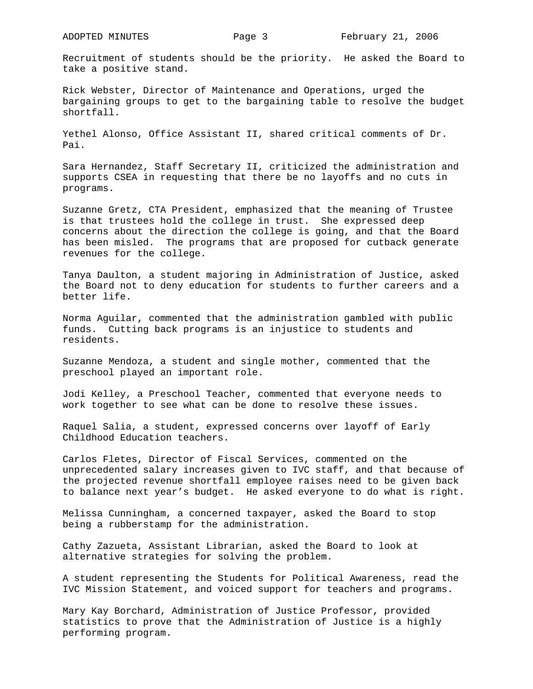Recruitment of students should be the priority. He asked the Board to take a positive stand.

Rick Webster, Director of Maintenance and Operations, urged the bargaining groups to get to the bargaining table to resolve the budget shortfall.

Yethel Alonso, Office Assistant II, shared critical comments of Dr. Pai.

Sara Hernandez, Staff Secretary II, criticized the administration and supports CSEA in requesting that there be no layoffs and no cuts in programs.

Suzanne Gretz, CTA President, emphasized that the meaning of Trustee is that trustees hold the college in trust. She expressed deep concerns about the direction the college is going, and that the Board has been misled. The programs that are proposed for cutback generate revenues for the college.

Tanya Daulton, a student majoring in Administration of Justice, asked the Board not to deny education for students to further careers and a better life.

Norma Aguilar, commented that the administration gambled with public funds. Cutting back programs is an injustice to students and residents.

Suzanne Mendoza, a student and single mother, commented that the preschool played an important role.

Jodi Kelley, a Preschool Teacher, commented that everyone needs to work together to see what can be done to resolve these issues.

Raquel Salia, a student, expressed concerns over layoff of Early Childhood Education teachers.

Carlos Fletes, Director of Fiscal Services, commented on the unprecedented salary increases given to IVC staff, and that because of the projected revenue shortfall employee raises need to be given back to balance next year's budget. He asked everyone to do what is right.

Melissa Cunningham, a concerned taxpayer, asked the Board to stop being a rubberstamp for the administration.

Cathy Zazueta, Assistant Librarian, asked the Board to look at alternative strategies for solving the problem.

A student representing the Students for Political Awareness, read the IVC Mission Statement, and voiced support for teachers and programs.

Mary Kay Borchard, Administration of Justice Professor, provided statistics to prove that the Administration of Justice is a highly performing program.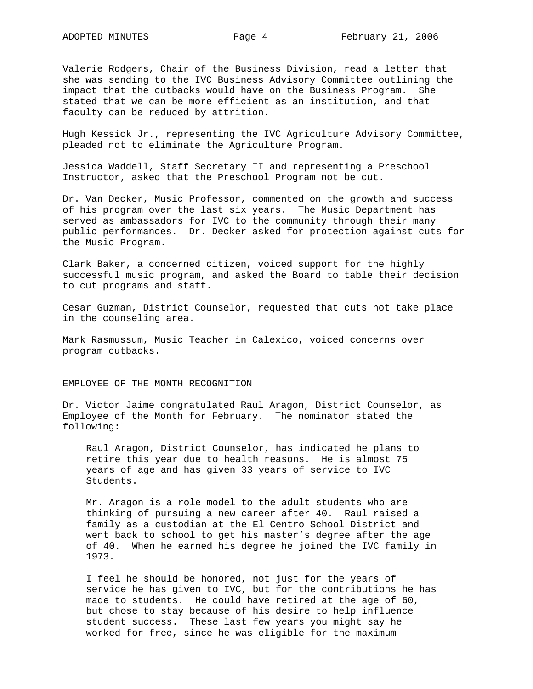Valerie Rodgers, Chair of the Business Division, read a letter that she was sending to the IVC Business Advisory Committee outlining the impact that the cutbacks would have on the Business Program. She stated that we can be more efficient as an institution, and that faculty can be reduced by attrition.

Hugh Kessick Jr., representing the IVC Agriculture Advisory Committee, pleaded not to eliminate the Agriculture Program.

Jessica Waddell, Staff Secretary II and representing a Preschool Instructor, asked that the Preschool Program not be cut.

Dr. Van Decker, Music Professor, commented on the growth and success of his program over the last six years. The Music Department has served as ambassadors for IVC to the community through their many public performances. Dr. Decker asked for protection against cuts for the Music Program.

Clark Baker, a concerned citizen, voiced support for the highly successful music program, and asked the Board to table their decision to cut programs and staff.

Cesar Guzman, District Counselor, requested that cuts not take place in the counseling area.

Mark Rasmussum, Music Teacher in Calexico, voiced concerns over program cutbacks.

#### EMPLOYEE OF THE MONTH RECOGNITION

Dr. Victor Jaime congratulated Raul Aragon, District Counselor, as Employee of the Month for February. The nominator stated the following:

Raul Aragon, District Counselor, has indicated he plans to retire this year due to health reasons. He is almost 75 years of age and has given 33 years of service to IVC Students.

Mr. Aragon is a role model to the adult students who are thinking of pursuing a new career after 40. Raul raised a family as a custodian at the El Centro School District and went back to school to get his master's degree after the age of 40. When he earned his degree he joined the IVC family in 1973.

I feel he should be honored, not just for the years of service he has given to IVC, but for the contributions he has made to students. He could have retired at the age of 60, but chose to stay because of his desire to help influence student success. These last few years you might say he worked for free, since he was eligible for the maximum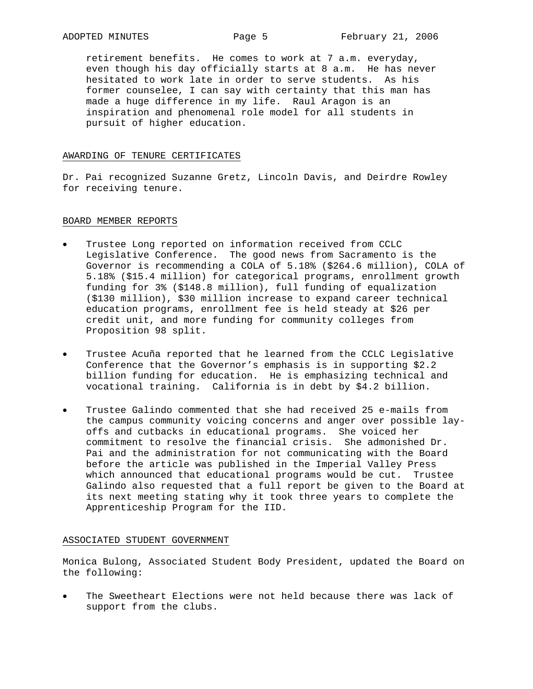retirement benefits. He comes to work at 7 a.m. everyday, even though his day officially starts at 8 a.m. He has never hesitated to work late in order to serve students. As his former counselee, I can say with certainty that this man has made a huge difference in my life. Raul Aragon is an inspiration and phenomenal role model for all students in pursuit of higher education.

#### AWARDING OF TENURE CERTIFICATES

Dr. Pai recognized Suzanne Gretz, Lincoln Davis, and Deirdre Rowley for receiving tenure.

#### BOARD MEMBER REPORTS

- Trustee Long reported on information received from CCLC Legislative Conference. The good news from Sacramento is the Governor is recommending a COLA of 5.18% (\$264.6 million), COLA of 5.18% (\$15.4 million) for categorical programs, enrollment growth funding for 3% (\$148.8 million), full funding of equalization (\$130 million), \$30 million increase to expand career technical education programs, enrollment fee is held steady at \$26 per credit unit, and more funding for community colleges from Proposition 98 split.
- Trustee Acuña reported that he learned from the CCLC Legislative Conference that the Governor's emphasis is in supporting \$2.2 billion funding for education. He is emphasizing technical and vocational training. California is in debt by \$4.2 billion.
- Trustee Galindo commented that she had received 25 e-mails from the campus community voicing concerns and anger over possible layoffs and cutbacks in educational programs. She voiced her commitment to resolve the financial crisis. She admonished Dr. Pai and the administration for not communicating with the Board before the article was published in the Imperial Valley Press which announced that educational programs would be cut. Trustee Galindo also requested that a full report be given to the Board at its next meeting stating why it took three years to complete the Apprenticeship Program for the IID.

### ASSOCIATED STUDENT GOVERNMENT

Monica Bulong, Associated Student Body President, updated the Board on the following:

The Sweetheart Elections were not held because there was lack of support from the clubs.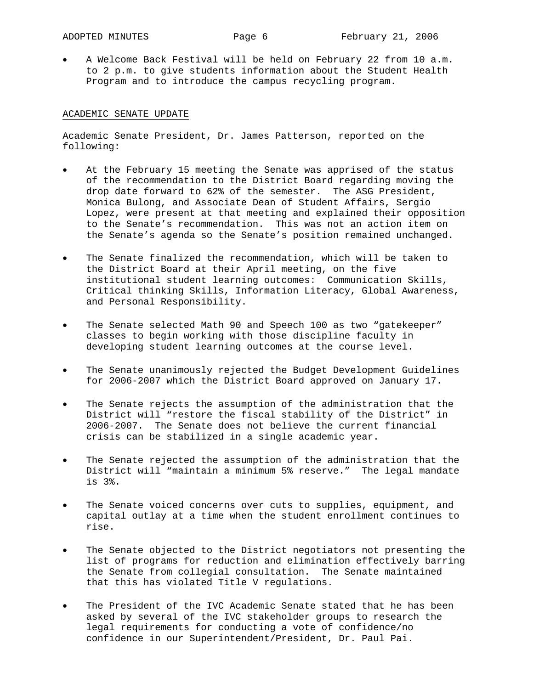• A Welcome Back Festival will be held on February 22 from 10 a.m. to 2 p.m. to give students information about the Student Health Program and to introduce the campus recycling program.

## ACADEMIC SENATE UPDATE

Academic Senate President, Dr. James Patterson, reported on the following:

- At the February 15 meeting the Senate was apprised of the status of the recommendation to the District Board regarding moving the drop date forward to 62% of the semester. The ASG President, Monica Bulong, and Associate Dean of Student Affairs, Sergio Lopez, were present at that meeting and explained their opposition to the Senate's recommendation. This was not an action item on the Senate's agenda so the Senate's position remained unchanged.
- The Senate finalized the recommendation, which will be taken to the District Board at their April meeting, on the five institutional student learning outcomes: Communication Skills, Critical thinking Skills, Information Literacy, Global Awareness, and Personal Responsibility.
- The Senate selected Math 90 and Speech 100 as two "gatekeeper" classes to begin working with those discipline faculty in developing student learning outcomes at the course level.
- The Senate unanimously rejected the Budget Development Guidelines for 2006-2007 which the District Board approved on January 17.
- The Senate rejects the assumption of the administration that the District will "restore the fiscal stability of the District" in 2006-2007. The Senate does not believe the current financial crisis can be stabilized in a single academic year.
- The Senate rejected the assumption of the administration that the District will "maintain a minimum 5% reserve." The legal mandate is 3%.
- The Senate voiced concerns over cuts to supplies, equipment, and capital outlay at a time when the student enrollment continues to rise.
- The Senate objected to the District negotiators not presenting the list of programs for reduction and elimination effectively barring the Senate from collegial consultation. The Senate maintained that this has violated Title V regulations.
- The President of the IVC Academic Senate stated that he has been asked by several of the IVC stakeholder groups to research the legal requirements for conducting a vote of confidence/no confidence in our Superintendent/President, Dr. Paul Pai.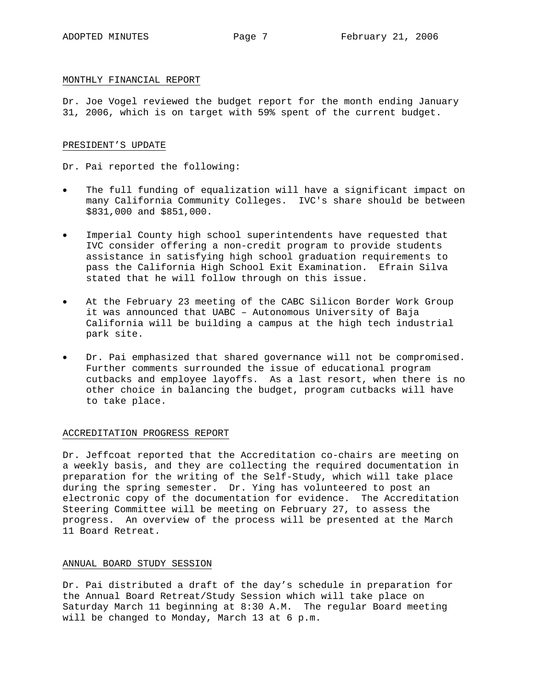### MONTHLY FINANCIAL REPORT

Dr. Joe Vogel reviewed the budget report for the month ending January 31, 2006, which is on target with 59% spent of the current budget.

### PRESIDENT'S UPDATE

Dr. Pai reported the following:

- The full funding of equalization will have a significant impact on many California Community Colleges. IVC's share should be between \$831,000 and \$851,000.
- Imperial County high school superintendents have requested that IVC consider offering a non-credit program to provide students assistance in satisfying high school graduation requirements to pass the California High School Exit Examination. Efrain Silva stated that he will follow through on this issue.
- At the February 23 meeting of the CABC Silicon Border Work Group it was announced that UABC – Autonomous University of Baja California will be building a campus at the high tech industrial park site.
- Dr. Pai emphasized that shared governance will not be compromised. Further comments surrounded the issue of educational program cutbacks and employee layoffs. As a last resort, when there is no other choice in balancing the budget, program cutbacks will have to take place.

### ACCREDITATION PROGRESS REPORT

Dr. Jeffcoat reported that the Accreditation co-chairs are meeting on a weekly basis, and they are collecting the required documentation in preparation for the writing of the Self-Study, which will take place during the spring semester. Dr. Ying has volunteered to post an electronic copy of the documentation for evidence. The Accreditation Steering Committee will be meeting on February 27, to assess the progress. An overview of the process will be presented at the March 11 Board Retreat.

### ANNUAL BOARD STUDY SESSION

Dr. Pai distributed a draft of the day's schedule in preparation for the Annual Board Retreat/Study Session which will take place on Saturday March 11 beginning at 8:30 A.M. The regular Board meeting will be changed to Monday, March 13 at 6 p.m.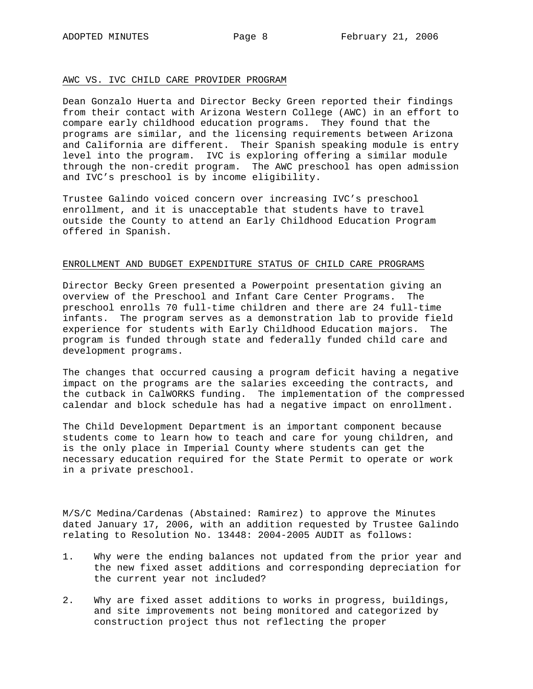### AWC VS. IVC CHILD CARE PROVIDER PROGRAM

Dean Gonzalo Huerta and Director Becky Green reported their findings from their contact with Arizona Western College (AWC) in an effort to compare early childhood education programs. They found that the programs are similar, and the licensing requirements between Arizona and California are different. Their Spanish speaking module is entry level into the program. IVC is exploring offering a similar module through the non-credit program. The AWC preschool has open admission and IVC's preschool is by income eligibility.

Trustee Galindo voiced concern over increasing IVC's preschool enrollment, and it is unacceptable that students have to travel outside the County to attend an Early Childhood Education Program offered in Spanish.

### ENROLLMENT AND BUDGET EXPENDITURE STATUS OF CHILD CARE PROGRAMS

Director Becky Green presented a Powerpoint presentation giving an overview of the Preschool and Infant Care Center Programs. The preschool enrolls 70 full-time children and there are 24 full-time infants. The program serves as a demonstration lab to provide field experience for students with Early Childhood Education majors. The program is funded through state and federally funded child care and development programs.

The changes that occurred causing a program deficit having a negative impact on the programs are the salaries exceeding the contracts, and the cutback in CalWORKS funding. The implementation of the compressed calendar and block schedule has had a negative impact on enrollment.

The Child Development Department is an important component because students come to learn how to teach and care for young children, and is the only place in Imperial County where students can get the necessary education required for the State Permit to operate or work in a private preschool.

M/S/C Medina/Cardenas (Abstained: Ramirez) to approve the Minutes dated January 17, 2006, with an addition requested by Trustee Galindo relating to Resolution No. 13448: 2004-2005 AUDIT as follows:

- 1. Why were the ending balances not updated from the prior year and the new fixed asset additions and corresponding depreciation for the current year not included?
- 2. Why are fixed asset additions to works in progress, buildings, and site improvements not being monitored and categorized by construction project thus not reflecting the proper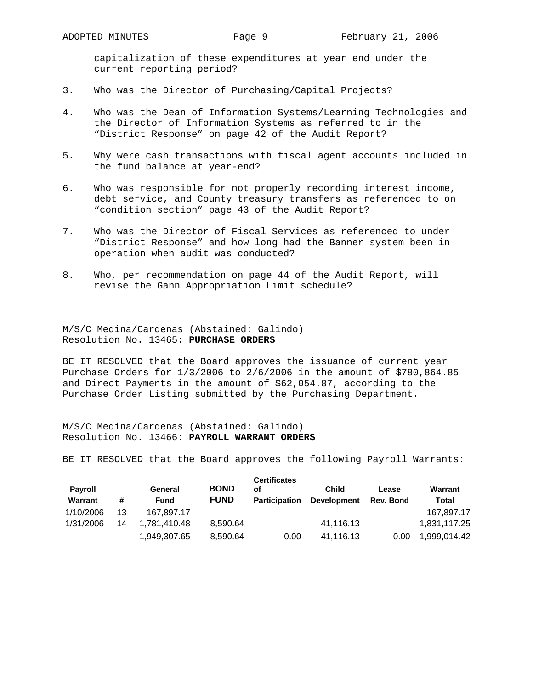capitalization of these expenditures at year end under the current reporting period?

- 3. Who was the Director of Purchasing/Capital Projects?
- 4. Who was the Dean of Information Systems/Learning Technologies and the Director of Information Systems as referred to in the "District Response" on page 42 of the Audit Report?
- 5. Why were cash transactions with fiscal agent accounts included in the fund balance at year-end?
- 6. Who was responsible for not properly recording interest income, debt service, and County treasury transfers as referenced to on "condition section" page 43 of the Audit Report?
- 7. Who was the Director of Fiscal Services as referenced to under "District Response" and how long had the Banner system been in operation when audit was conducted?
- 8. Who, per recommendation on page 44 of the Audit Report, will revise the Gann Appropriation Limit schedule?

M/S/C Medina/Cardenas (Abstained: Galindo) Resolution No. 13465: **PURCHASE ORDERS**

BE IT RESOLVED that the Board approves the issuance of current year Purchase Orders for 1/3/2006 to 2/6/2006 in the amount of \$780,864.85 and Direct Payments in the amount of \$62,054.87, according to the Purchase Order Listing submitted by the Purchasing Department.

M/S/C Medina/Cardenas (Abstained: Galindo) Resolution No. 13466: **PAYROLL WARRANT ORDERS**

BE IT RESOLVED that the Board approves the following Payroll Warrants:

| <b>Payroll</b><br>Warrant | #  | General<br>Fund | <b>BOND</b><br><b>FUND</b> | <b>Certificates</b><br>оf<br><b>Participation</b> | <b>Child</b><br><b>Development</b> | Lease<br>Rev. Bond | Warrant<br>Total |
|---------------------------|----|-----------------|----------------------------|---------------------------------------------------|------------------------------------|--------------------|------------------|
| 1/10/2006                 | 13 | 167.897.17      |                            |                                                   |                                    |                    | 167.897.17       |
| 1/31/2006                 | 14 | 1.781.410.48    | 8.590.64                   |                                                   | 41.116.13                          |                    | 1.831.117.25     |
|                           |    | 1,949,307.65    | 8,590.64                   | 0.00                                              | 41,116.13                          | 0.00               | 1.999.014.42     |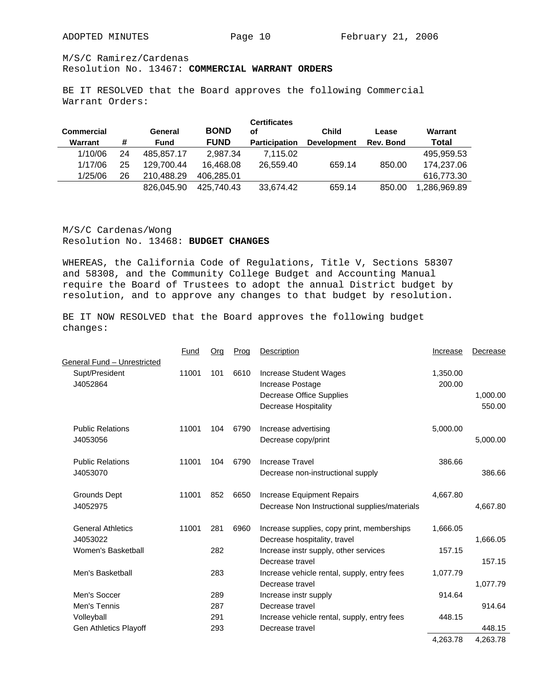M/S/C Ramirez/Cardenas

# Resolution No. 13467: **COMMERCIAL WARRANT ORDERS**

BE IT RESOLVED that the Board approves the following Commercial Warrant Orders:

| <b>Commercial</b> |    | General     | <b>BOND</b> | <b>Certificates</b><br>οf | <b>Child</b>       | Lease     | Warrant      |
|-------------------|----|-------------|-------------|---------------------------|--------------------|-----------|--------------|
| Warrant           | #  | <b>Fund</b> | <b>FUND</b> | <b>Participation</b>      | <b>Development</b> | Rev. Bond | Total        |
| 1/10/06           | 24 | 485.857.17  | 2,987.34    | 7,115.02                  |                    |           | 495.959.53   |
| 1/17/06           | 25 | 129.700.44  | 16.468.08   | 26,559.40                 | 659.14             | 850.00    | 174.237.06   |
| 1/25/06           | 26 | 210.488.29  | 406.285.01  |                           |                    |           | 616.773.30   |
|                   |    | 826,045,90  | 425.740.43  | 33.674.42                 | 659.14             | 850.00    | 1.286.969.89 |

M/S/C Cardenas/Wong Resolution No. 13468: **BUDGET CHANGES** 

WHEREAS, the California Code of Regulations, Title V, Sections 58307 and 58308, and the Community College Budget and Accounting Manual require the Board of Trustees to adopt the annual District budget by resolution, and to approve any changes to that budget by resolution.

BE IT NOW RESOLVED that the Board approves the following budget changes:

|                             | Fund  | Org | Prog | Description                                   | Increase | Decrease |
|-----------------------------|-------|-----|------|-----------------------------------------------|----------|----------|
| General Fund - Unrestricted |       |     |      |                                               |          |          |
| Supt/President              | 11001 | 101 | 6610 | Increase Student Wages                        | 1,350.00 |          |
| J4052864                    |       |     |      | Increase Postage                              | 200.00   |          |
|                             |       |     |      | Decrease Office Supplies                      |          | 1,000.00 |
|                             |       |     |      | Decrease Hospitality                          |          | 550.00   |
| <b>Public Relations</b>     | 11001 | 104 | 6790 | Increase advertising                          | 5,000.00 |          |
| J4053056                    |       |     |      | Decrease copy/print                           |          | 5,000.00 |
| <b>Public Relations</b>     | 11001 | 104 | 6790 | Increase Travel                               | 386.66   |          |
| J4053070                    |       |     |      | Decrease non-instructional supply             |          | 386.66   |
| <b>Grounds Dept</b>         | 11001 | 852 | 6650 | Increase Equipment Repairs                    | 4,667.80 |          |
| J4052975                    |       |     |      | Decrease Non Instructional supplies/materials |          | 4,667.80 |
| <b>General Athletics</b>    | 11001 | 281 | 6960 | Increase supplies, copy print, memberships    | 1,666.05 |          |
| J4053022                    |       |     |      | Decrease hospitality, travel                  |          | 1,666.05 |
| Women's Basketball          |       | 282 |      | Increase instr supply, other services         | 157.15   |          |
|                             |       |     |      | Decrease travel                               |          | 157.15   |
| Men's Basketball            |       | 283 |      | Increase vehicle rental, supply, entry fees   | 1,077.79 |          |
|                             |       |     |      | Decrease travel                               |          | 1,077.79 |
| Men's Soccer                |       | 289 |      | Increase instr supply                         | 914.64   |          |
| Men's Tennis                |       | 287 |      | Decrease travel                               |          | 914.64   |
| Volleyball                  |       | 291 |      | Increase vehicle rental, supply, entry fees   | 448.15   |          |
| Gen Athletics Playoff       |       | 293 |      | Decrease travel                               |          | 448.15   |
|                             |       |     |      |                                               | 4,263.78 | 4,263.78 |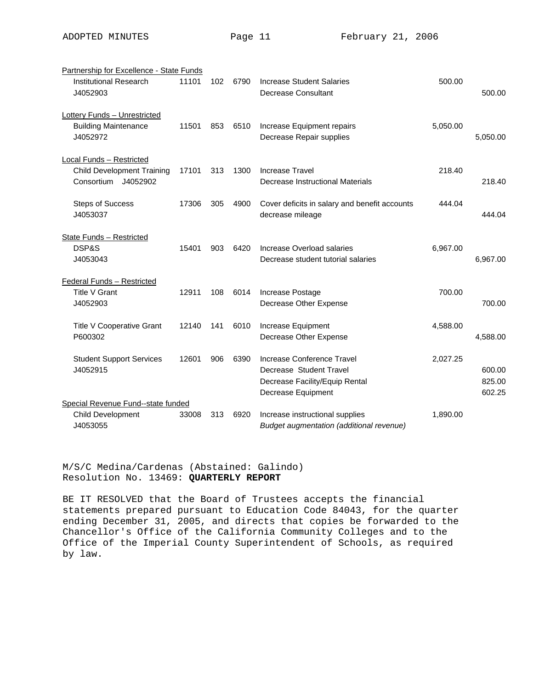| Partnership for Excellence - State Funds                                             |       |     |      |                                                                                                               |          |                            |
|--------------------------------------------------------------------------------------|-------|-----|------|---------------------------------------------------------------------------------------------------------------|----------|----------------------------|
| Institutional Research<br>J4052903                                                   | 11101 | 102 | 6790 | Increase Student Salaries<br><b>Decrease Consultant</b>                                                       | 500.00   | 500.00                     |
| <b>Lottery Funds - Unrestricted</b><br><b>Building Maintenance</b><br>J4052972       | 11501 | 853 | 6510 | Increase Equipment repairs<br>Decrease Repair supplies                                                        | 5,050.00 | 5,050.00                   |
| Local Funds - Restricted<br><b>Child Development Training</b><br>Consortium J4052902 | 17101 | 313 | 1300 | <b>Increase Travel</b><br>Decrease Instructional Materials                                                    | 218.40   | 218.40                     |
| <b>Steps of Success</b><br>J4053037                                                  | 17306 | 305 | 4900 | Cover deficits in salary and benefit accounts<br>decrease mileage                                             | 444.04   | 444.04                     |
| <b>State Funds - Restricted</b><br>DSP&S<br>J4053043                                 | 15401 | 903 | 6420 | Increase Overload salaries<br>Decrease student tutorial salaries                                              | 6,967.00 | 6,967.00                   |
| <b>Federal Funds - Restricted</b><br><b>Title V Grant</b><br>J4052903                | 12911 | 108 | 6014 | Increase Postage<br>Decrease Other Expense                                                                    | 700.00   | 700.00                     |
| Title V Cooperative Grant<br>P600302                                                 | 12140 | 141 | 6010 | Increase Equipment<br>Decrease Other Expense                                                                  | 4,588.00 | 4,588.00                   |
| <b>Student Support Services</b><br>J4052915                                          | 12601 | 906 | 6390 | Increase Conference Travel<br>Decrease Student Travel<br>Decrease Facility/Equip Rental<br>Decrease Equipment | 2,027.25 | 600.00<br>825.00<br>602.25 |
| Special Revenue Fund--state funded                                                   |       |     |      |                                                                                                               |          |                            |
| Child Development<br>J4053055                                                        | 33008 | 313 | 6920 | Increase instructional supplies<br>Budget augmentation (additional revenue)                                   | 1,890.00 |                            |

M/S/C Medina/Cardenas (Abstained: Galindo) Resolution No. 13469: **QUARTERLY REPORT** 

BE IT RESOLVED that the Board of Trustees accepts the financial statements prepared pursuant to Education Code 84043, for the quarter ending December 31, 2005, and directs that copies be forwarded to the Chancellor's Office of the California Community Colleges and to the Office of the Imperial County Superintendent of Schools, as required by law.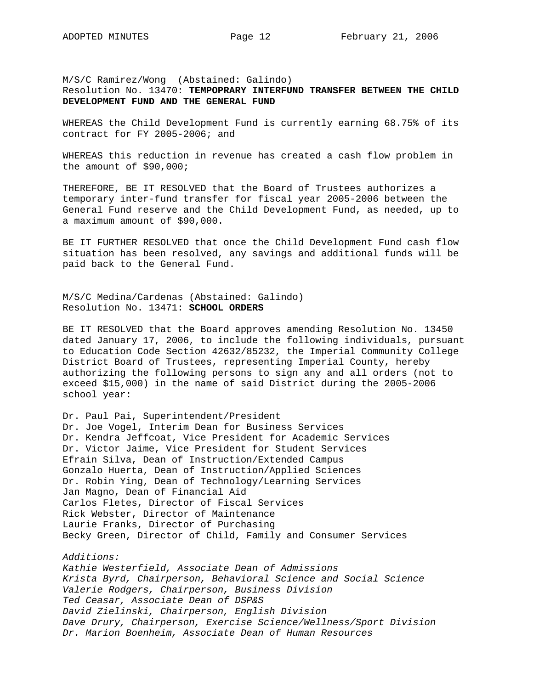M/S/C Ramirez/Wong (Abstained: Galindo) Resolution No. 13470: **TEMPOPRARY INTERFUND TRANSFER BETWEEN THE CHILD DEVELOPMENT FUND AND THE GENERAL FUND** 

WHEREAS the Child Development Fund is currently earning 68.75% of its contract for FY 2005-2006; and

WHEREAS this reduction in revenue has created a cash flow problem in the amount of \$90,000;

THEREFORE, BE IT RESOLVED that the Board of Trustees authorizes a temporary inter-fund transfer for fiscal year 2005-2006 between the General Fund reserve and the Child Development Fund, as needed, up to a maximum amount of \$90,000.

BE IT FURTHER RESOLVED that once the Child Development Fund cash flow situation has been resolved, any savings and additional funds will be paid back to the General Fund.

M/S/C Medina/Cardenas (Abstained: Galindo) Resolution No. 13471: **SCHOOL ORDERS**

BE IT RESOLVED that the Board approves amending Resolution No. 13450 dated January 17, 2006, to include the following individuals, pursuant to Education Code Section 42632/85232, the Imperial Community College District Board of Trustees, representing Imperial County, hereby authorizing the following persons to sign any and all orders (not to exceed \$15,000) in the name of said District during the 2005-2006 school year:

Dr. Paul Pai, Superintendent/President Dr. Joe Vogel, Interim Dean for Business Services Dr. Kendra Jeffcoat, Vice President for Academic Services Dr. Victor Jaime, Vice President for Student Services Efrain Silva, Dean of Instruction/Extended Campus Gonzalo Huerta, Dean of Instruction/Applied Sciences Dr. Robin Ying, Dean of Technology/Learning Services Jan Magno, Dean of Financial Aid Carlos Fletes, Director of Fiscal Services Rick Webster, Director of Maintenance Laurie Franks, Director of Purchasing Becky Green, Director of Child, Family and Consumer Services

*Additions:* 

*Kathie Westerfield, Associate Dean of Admissions Krista Byrd, Chairperson, Behavioral Science and Social Science Valerie Rodgers, Chairperson, Business Division Ted Ceasar, Associate Dean of DSP&S David Zielinski, Chairperson, English Division Dave Drury, Chairperson, Exercise Science/Wellness/Sport Division Dr. Marion Boenheim, Associate Dean of Human Resources*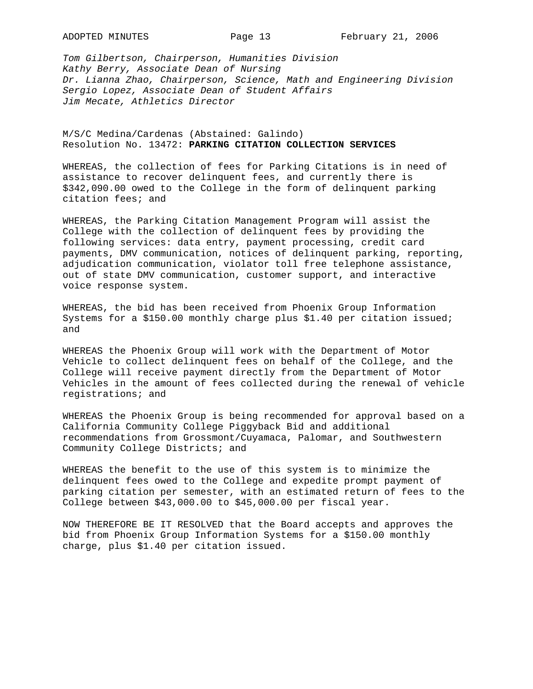*Tom Gilbertson, Chairperson, Humanities Division Kathy Berry, Associate Dean of Nursing Dr. Lianna Zhao, Chairperson, Science, Math and Engineering Division Sergio Lopez, Associate Dean of Student Affairs Jim Mecate, Athletics Director* 

M/S/C Medina/Cardenas (Abstained: Galindo) Resolution No. 13472: **PARKING CITATION COLLECTION SERVICES**

WHEREAS, the collection of fees for Parking Citations is in need of assistance to recover delinquent fees, and currently there is \$342,090.00 owed to the College in the form of delinquent parking citation fees; and

WHEREAS, the Parking Citation Management Program will assist the College with the collection of delinquent fees by providing the following services: data entry, payment processing, credit card payments, DMV communication, notices of delinquent parking, reporting, adjudication communication, violator toll free telephone assistance, out of state DMV communication, customer support, and interactive voice response system.

WHEREAS, the bid has been received from Phoenix Group Information Systems for a \$150.00 monthly charge plus \$1.40 per citation issued; and

WHEREAS the Phoenix Group will work with the Department of Motor Vehicle to collect delinquent fees on behalf of the College, and the College will receive payment directly from the Department of Motor Vehicles in the amount of fees collected during the renewal of vehicle registrations; and

WHEREAS the Phoenix Group is being recommended for approval based on a California Community College Piggyback Bid and additional recommendations from Grossmont/Cuyamaca, Palomar, and Southwestern Community College Districts; and

WHEREAS the benefit to the use of this system is to minimize the delinquent fees owed to the College and expedite prompt payment of parking citation per semester, with an estimated return of fees to the College between \$43,000.00 to \$45,000.00 per fiscal year.

NOW THEREFORE BE IT RESOLVED that the Board accepts and approves the bid from Phoenix Group Information Systems for a \$150.00 monthly charge, plus \$1.40 per citation issued.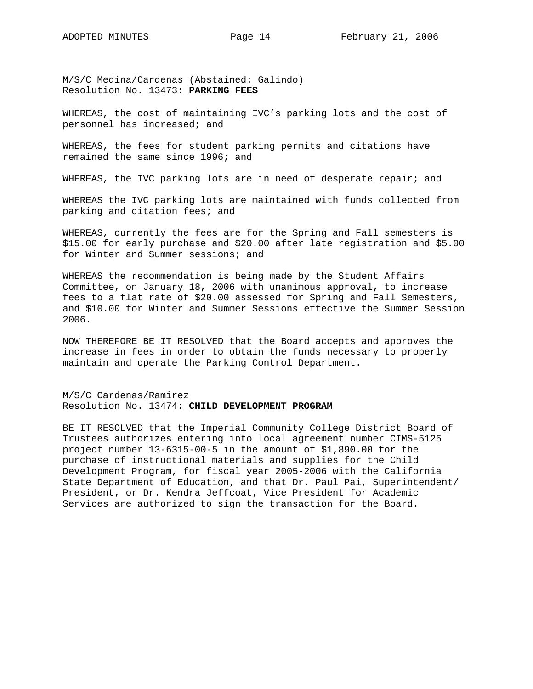M/S/C Medina/Cardenas (Abstained: Galindo) Resolution No. 13473: **PARKING FEES** 

WHEREAS, the cost of maintaining IVC's parking lots and the cost of personnel has increased; and

WHEREAS, the fees for student parking permits and citations have remained the same since 1996; and

WHEREAS, the IVC parking lots are in need of desperate repair; and

WHEREAS the IVC parking lots are maintained with funds collected from parking and citation fees; and

WHEREAS, currently the fees are for the Spring and Fall semesters is \$15.00 for early purchase and \$20.00 after late registration and \$5.00 for Winter and Summer sessions; and

WHEREAS the recommendation is being made by the Student Affairs Committee, on January 18, 2006 with unanimous approval, to increase fees to a flat rate of \$20.00 assessed for Spring and Fall Semesters, and \$10.00 for Winter and Summer Sessions effective the Summer Session 2006.

NOW THEREFORE BE IT RESOLVED that the Board accepts and approves the increase in fees in order to obtain the funds necessary to properly maintain and operate the Parking Control Department.

M/S/C Cardenas/Ramirez Resolution No. 13474: **CHILD DEVELOPMENT PROGRAM**

BE IT RESOLVED that the Imperial Community College District Board of Trustees authorizes entering into local agreement number CIMS-5125 project number 13-6315-00-5 in the amount of \$1,890.00 for the purchase of instructional materials and supplies for the Child Development Program, for fiscal year 2005-2006 with the California State Department of Education, and that Dr. Paul Pai, Superintendent/ President, or Dr. Kendra Jeffcoat, Vice President for Academic Services are authorized to sign the transaction for the Board.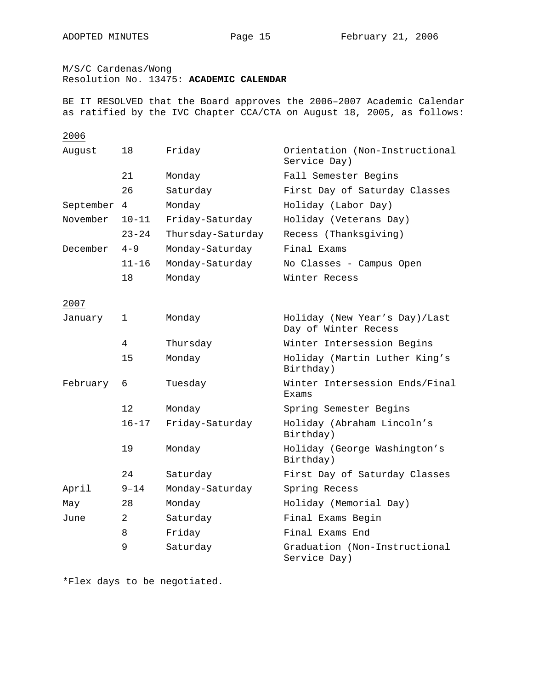M/S/C Cardenas/Wong

Resolution No. 13475: **ACADEMIC CALENDAR**

BE IT RESOLVED that the Board approves the 2006–2007 Academic Calendar as ratified by the IVC Chapter CCA/CTA on August 18, 2005, as follows:

# 2006

| August    | 18                | Friday            | Orientation (Non-Instructional<br>Service Day)        |
|-----------|-------------------|-------------------|-------------------------------------------------------|
|           | 21                | Monday            | Fall Semester Begins                                  |
|           | 26                | Saturday          | First Day of Saturday Classes                         |
| September | 4                 | Monday            | Holiday (Labor Day)                                   |
| November  | $10 - 11$         | Friday-Saturday   | Holiday (Veterans Day)                                |
|           | $23 - 24$         | Thursday-Saturday | Recess (Thanksgiving)                                 |
| December  | $4 - 9$           | Monday-Saturday   | Final Exams                                           |
|           | $11 - 16$         | Monday-Saturday   | No Classes - Campus Open                              |
|           | 18                | Monday            | Winter Recess                                         |
| 2007      |                   |                   |                                                       |
| January   | 1                 | Monday            | Holiday (New Year's Day)/Last<br>Day of Winter Recess |
|           | 4                 | Thursday          | Winter Intersession Begins                            |
|           | 15                | Monday            | Holiday (Martin Luther King's<br>Birthday)            |
| February  | 6                 | Tuesday           | Winter Intersession Ends/Final<br>Exams               |
|           | $12 \overline{ }$ | Monday            | Spring Semester Begins                                |
|           | $16 - 17$         | Friday-Saturday   | Holiday (Abraham Lincoln's<br>Birthday)               |
|           | 19                | Monday            | Holiday (George Washington's<br>Birthday)             |
|           | 24                | Saturday          | First Day of Saturday Classes                         |
| April     | 9-14              | Monday-Saturday   | Spring Recess                                         |
| May       | 28                | Monday            | Holiday (Memorial Day)                                |
| June      | 2                 | Saturday          | Final Exams Begin                                     |
|           | 8                 | Friday            | Final Exams End                                       |
|           | 9                 | Saturday          | Graduation (Non-Instructional<br>Service Day)         |

\*Flex days to be negotiated.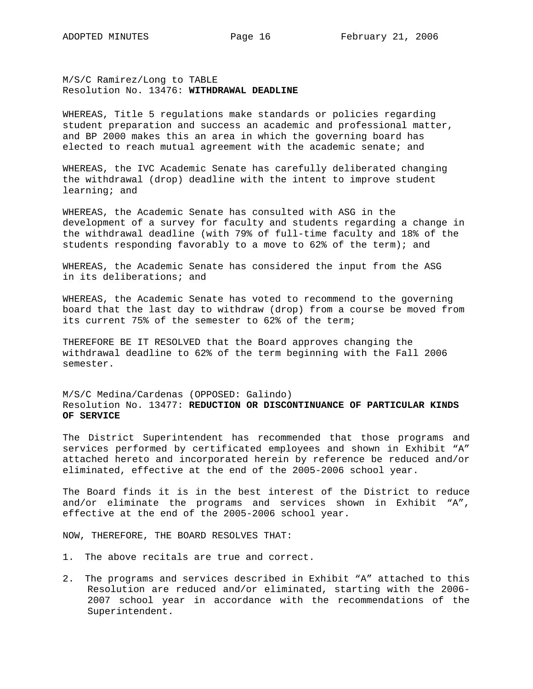M/S/C Ramirez/Long to TABLE Resolution No. 13476: **WITHDRAWAL DEADLINE**

WHEREAS, Title 5 regulations make standards or policies regarding student preparation and success an academic and professional matter, and BP 2000 makes this an area in which the governing board has elected to reach mutual agreement with the academic senate; and

WHEREAS, the IVC Academic Senate has carefully deliberated changing the withdrawal (drop) deadline with the intent to improve student learning; and

WHEREAS, the Academic Senate has consulted with ASG in the development of a survey for faculty and students regarding a change in the withdrawal deadline (with 79% of full-time faculty and 18% of the students responding favorably to a move to 62% of the term); and

WHEREAS, the Academic Senate has considered the input from the ASG in its deliberations; and

WHEREAS, the Academic Senate has voted to recommend to the governing board that the last day to withdraw (drop) from a course be moved from its current 75% of the semester to 62% of the term;

THEREFORE BE IT RESOLVED that the Board approves changing the withdrawal deadline to 62% of the term beginning with the Fall 2006 semester.

M/S/C Medina/Cardenas (OPPOSED: Galindo) Resolution No. 13477: **REDUCTION OR DISCONTINUANCE OF PARTICULAR KINDS OF SERVICE**

The District Superintendent has recommended that those programs and services performed by certificated employees and shown in Exhibit "A" attached hereto and incorporated herein by reference be reduced and/or eliminated, effective at the end of the 2005-2006 school year.

The Board finds it is in the best interest of the District to reduce and/or eliminate the programs and services shown in Exhibit "A", effective at the end of the 2005-2006 school year.

NOW, THEREFORE, THE BOARD RESOLVES THAT:

- 1. The above recitals are true and correct.
- 2. The programs and services described in Exhibit "A" attached to this Resolution are reduced and/or eliminated, starting with the 2006- 2007 school year in accordance with the recommendations of the Superintendent.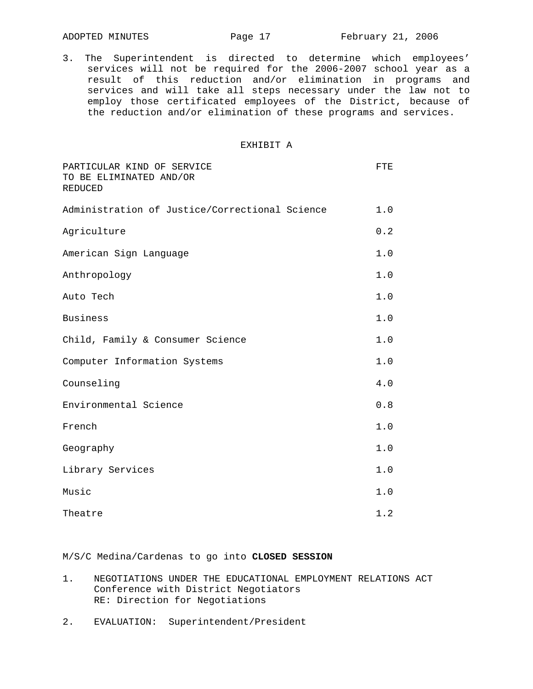3. The Superintendent is directed to determine which employees' services will not be required for the 2006-2007 school year as a result of this reduction and/or elimination in programs and services and will take all steps necessary under the law not to employ those certificated employees of the District, because of the reduction and/or elimination of these programs and services.

#### EXHIBIT A

| PARTICULAR KIND OF SERVICE<br>TO BE ELIMINATED AND/OR<br>REDUCED | FTE   |
|------------------------------------------------------------------|-------|
| Administration of Justice/Correctional Science                   | 1.0   |
| Agriculture                                                      | 0.2   |
| American Sign Language                                           | 1.0   |
| Anthropology                                                     | 1.0   |
| Auto Tech                                                        | 1.0   |
| <b>Business</b>                                                  | $1.0$ |
| Child, Family & Consumer Science                                 | 1.0   |
| Computer Information Systems                                     | 1.0   |
| Counseling                                                       | 4.0   |
| Environmental Science                                            | 0.8   |
| French                                                           | 1.0   |
| Geography                                                        | 1.0   |
| Library Services                                                 | 1.0   |
| Music                                                            | 1.0   |
| Theatre                                                          | 1.2   |

M/S/C Medina/Cardenas to go into **CLOSED SESSION**

- 1. NEGOTIATIONS UNDER THE EDUCATIONAL EMPLOYMENT RELATIONS ACT Conference with District Negotiators RE: Direction for Negotiations
- 2. EVALUATION: Superintendent/President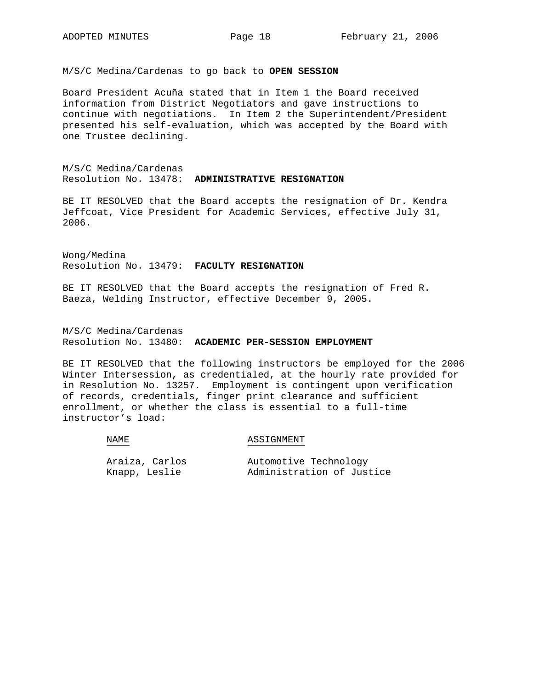M/S/C Medina/Cardenas to go back to **OPEN SESSION**

Board President Acuña stated that in Item 1 the Board received information from District Negotiators and gave instructions to continue with negotiations. In Item 2 the Superintendent/President presented his self-evaluation, which was accepted by the Board with one Trustee declining.

M/S/C Medina/Cardenas Resolution No. 13478: **ADMINISTRATIVE RESIGNATION**

BE IT RESOLVED that the Board accepts the resignation of Dr. Kendra Jeffcoat, Vice President for Academic Services, effective July 31, 2006.

Wong/Medina Resolution No. 13479: **FACULTY RESIGNATION**

BE IT RESOLVED that the Board accepts the resignation of Fred R. Baeza, Welding Instructor, effective December 9, 2005.

M/S/C Medina/Cardenas Resolution No. 13480: **ACADEMIC PER-SESSION EMPLOYMENT**

BE IT RESOLVED that the following instructors be employed for the 2006 Winter Intersession, as credentialed, at the hourly rate provided for in Resolution No. 13257. Employment is contingent upon verification of records, credentials, finger print clearance and sufficient enrollment, or whether the class is essential to a full-time instructor's load:

#### NAME

#### ASSIGNMENT

| Araiza, Carlos | Automotive Technology     |
|----------------|---------------------------|
| Knapp, Leslie  | Administration of Justice |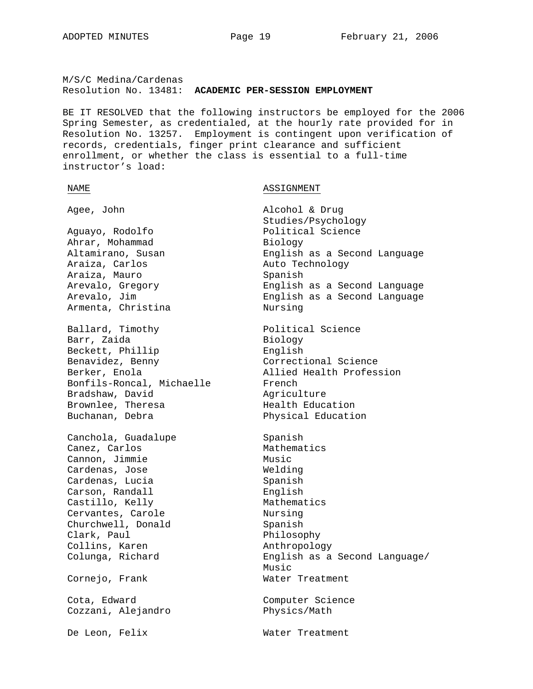M/S/C Medina/Cardenas Resolution No. 13481: **ACADEMIC PER-SESSION EMPLOYMENT**

BE IT RESOLVED that the following instructors be employed for the 2006 Spring Semester, as credentialed, at the hourly rate provided for in Resolution No. 13257. Employment is contingent upon verification of records, credentials, finger print clearance and sufficient enrollment, or whether the class is essential to a full-time instructor's load:

NAME NAME ASSIGNMENT

Aguayo, Rodolfo **Political** Science Ahrar, Mohammad Biology Araiza, Carlos **Auto Technology** Araiza, Mauro **Spanish** Spanish Armenta, Christina **Nursing** Ballard, Timothy **Political Science** Barr, Zaida Biology Beckett, Phillip and English<br>Benavidez, Benny Benavidez, Correct Bonfils-Roncal, Michaelle French Bradshaw, David Agriculture Brownlee, Theresa **Health Education** Buchanan, Debra Physical Education Canchola, Guadalupe Spanish Canez, Carlos Mathematics Cannon, Jimmie Music Cardenas, Jose Welding Cardenas, Lucia Spanish Carson, Randall English Castillo, Kelly Mathematics Cervantes, Carole **Nursing** Churchwell, Donald Spanish Clark, Paul Philosophy Collins, Karen Anthropology Cornejo, Frank Water Treatment Cota, Edward Computer Science Cozzani, Alejandro Physics/Math De Leon, Felix Water Treatment

Agee, John Alcohol & Drug Studies/Psychology Altamirano, Susan English as a Second Language Arevalo, Gregory English as a Second Language Arevalo, Jim English as a Second Language Correctional Science Berker, Enola **Allied Health Profession** 

Colunga, Richard English as a Second Language/ Music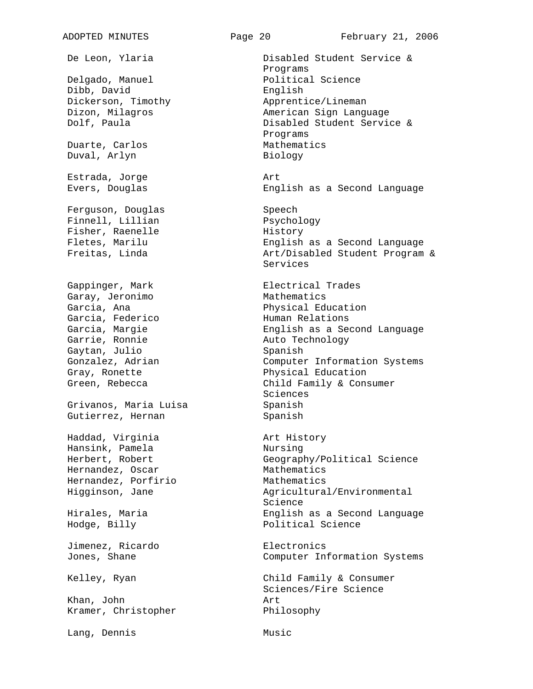Delgado, Manuel Political Science Dibb, David English Dickerson, Timothy **Apprentice/Lineman** Duarte, Carlos **Mathematics** Duval, Arlyn Biology Estrada, Jorge Art Ferguson, Douglas Speech Finnell, Lillian Psychology Fisher, Raenelle History Gappinger, Mark **Electrical** Trades Garay, Jeronimo Mathematics Garcia, Ana **Physical Education** Garcia, Federico and Human Relations Garrie, Ronnie **Auto Technology** Gaytan, Julio Spanish Gray, Ronette **Physical Education** Grivanos, Maria Luisa **Spanish** Gutierrez, Hernan Spanish Haddad, Virginia and Art History Hansink, Pamela Nursing Hernandez, Oscar Mathematics Hernandez, Porfirio Mathematics Hodge, Billy **Political** Science Jimenez, Ricardo **Electronics** Khan, John **Art** Kramer, Christopher Philosophy

Lang, Dennis Music

De Leon, Ylaria Disabled Student Service & Programs Dizon, Milagros **American Sign Language** Dolf, Paula Disabled Student Service & Programs

Evers, Douglas English as a Second Language

Fletes, Marilu English as a Second Language Freitas, Linda and Art/Disabled Student Program & Services

Garcia, Margie English as a Second Language Gonzalez, Adrian Computer Information Systems Green, Rebecca and Child Family & Consumer Sciences

Herbert, Robert Geography/Political Science Higginson, Jane Agricultural/Environmental Science Hirales, Maria English as a Second Language

Jones, Shane Computer Information Systems

Kelley, Ryan Child Family & Consumer Sciences/Fire Science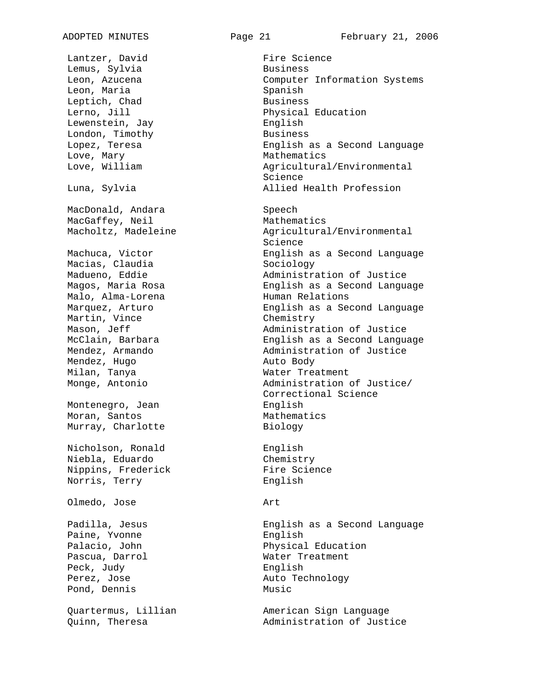Lantzer, David Fire Science Lemus, Sylvia Business Leon, Maria Spanish Leptich, Chad Business Lerno, Jill **Education** Physical Education Lewenstein, Jay **English** London, Timothy **Business** Love, Mary **Mathematics** Mathematics MacDonald, Andara Speech MacGaffey, Neil Mathematics Macias, Claudia Sociology Malo, Alma-Lorena **Human Relations** Martin, Vince Chemistry Mendez, Hugo **Auto Body** Milan, Tanya **Water Treatment** Montenegro, Jean **English** Moran, Santos **Mathematics** Murray, Charlotte Biology Nicholson, Ronald English Niebla, Eduardo Chemistry Nippins, Frederick Fire Science Norris, Terry **English** Olmedo, Jose Art Paine, Yvonne English Palacio, John Physical Education Pascua, Darrol Water Treatment Peck, Judy **English** Perez, Jose Auto Technology Pond, Dennis Music

Leon, Azucena Computer Information Systems Lopez, Teresa English as a Second Language Love, William Agricultural/Environmental Science Luna, Sylvia Allied Health Profession

Macholtz, Madeleine **Agricultural/Environmental** Science Machuca, Victor **English as a Second Language** Madueno, Eddie **Administration of Justice** Magos, Maria Rosa (English as a Second Language Marquez, Arturo English as a Second Language Mason, Jeff **Administration of Justice** McClain, Barbara English as a Second Language Mendez, Armando Administration of Justice Monge, Antonio Administration of Justice/ Correctional Science

Padilla, Jesus English as a Second Language

Quartermus, Lillian American Sign Language Quinn, Theresa Administration of Justice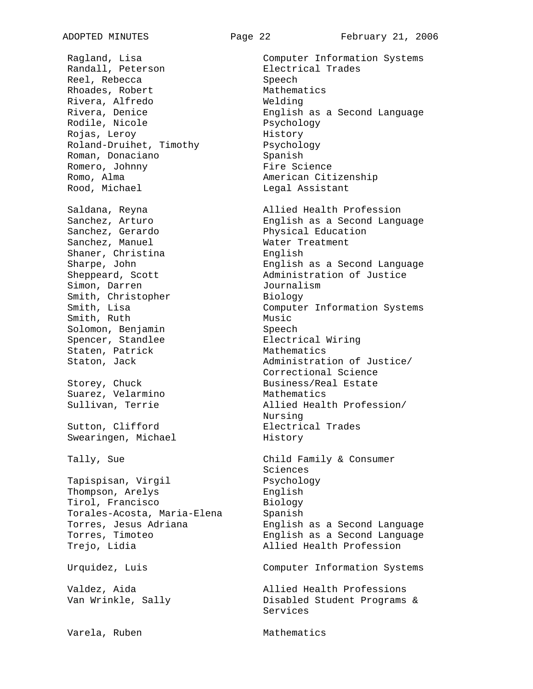Randall, Peterson Electrical Trades Reel, Rebecca Speech Rhoades, Robert Mathematics Rivera, Alfredo Welding Rodile, Nicole Psychology Rojas, Leroy **History** Roland-Druihet, Timothy Psychology Roman, Donaciano **Spanish** Romero, Johnny **Fire Science** Romo, Alma and American Citizenship Rood, Michael **Legal Assistant** Sanchez, Gerardo Physical Education Sanchez, Manuel Water Treatment Shaner, Christina English Simon, Darren Journalism Smith, Christopher Biology<br>Smith, Lisa Compute: Smith, Ruth Music Solomon, Benjamin Speech Spencer, Standlee Electrical Wiring Staten, Patrick Mathematics Storey, Chuck Business/Real Estate Suarez, Velarmino Mathematics Sutton, Clifford **Electrical** Trades Swearingen, Michael **History** Tally, Sue **Child Family & Consumer** Tapispisan, Virgil Psychology Thompson, Arelys English Tirol, Francisco Biology Torales-Acosta, Maria-Elena Spanish

Varela, Ruben Mathematics

Ragland, Lisa Computer Information Systems Rivera, Denice English as a Second Language Saldana, Reyna **Allied Health Profession** Sanchez, Arturo English as a Second Language

Sharpe, John English as a Second Language Sheppeard, Scott **Administration of Justice** Computer Information Systems Staton, Jack and Muslim and Administration of Justice/ Correctional Science Sullivan, Terrie Allied Health Profession/ Nursing

Sciences Torres, Jesus Adriana English as a Second Language Torres, Timoteo English as a Second Language Trejo, Lidia and Allied Health Profession

Urquidez, Luis Computer Information Systems

Valdez, Aida Allied Health Professions Van Wrinkle, Sally Canadia Busabled Student Programs & Services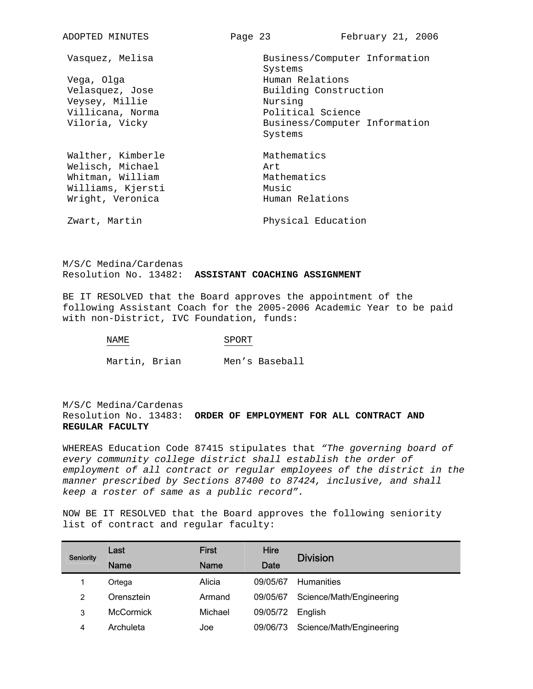| ADOPTED MINUTES   | Page 23 |                       | February 21, 2006             |
|-------------------|---------|-----------------------|-------------------------------|
| Vasquez, Melisa   |         | Systems               | Business/Computer Information |
| Vega, Olga        |         | Human Relations       |                               |
| Velasquez, Jose   |         | Building Construction |                               |
| Veysey, Millie    |         | Nursing               |                               |
| Villicana, Norma  |         | Political Science     |                               |
| Viloria, Vicky    |         |                       | Business/Computer Information |
|                   |         | Systems               |                               |
| Walther, Kimberle |         | Mathematics           |                               |
| Welisch, Michael  |         | Art                   |                               |
| Whitman, William  |         | Mathematics           |                               |
| Williams, Kjersti |         | Music                 |                               |
| Wright, Veronica  |         | Human Relations       |                               |
| Zwart, Martin     |         | Physical Education    |                               |

M/S/C Medina/Cardenas Resolution No. 13482: **ASSISTANT COACHING ASSIGNMENT**

BE IT RESOLVED that the Board approves the appointment of the following Assistant Coach for the 2005-2006 Academic Year to be paid with non-District, IVC Foundation, funds:

NAME SPORT

Martin, Brian Men's Baseball

M/S/C Medina/Cardenas Resolution No. 13483: **ORDER OF EMPLOYMENT FOR ALL CONTRACT AND REGULAR FACULTY**

WHEREAS Education Code 87415 stipulates that *"The governing board of every community college district shall establish the order of employment of all contract or regular employees of the district in the manner prescribed by Sections 87400 to 87424, inclusive, and shall keep a roster of same as a public record".* 

NOW BE IT RESOLVED that the Board approves the following seniority list of contract and regular faculty:

| Seniority | Last             | <b>First</b> | <b>Hire</b> | <b>Division</b>          |
|-----------|------------------|--------------|-------------|--------------------------|
|           | <b>Name</b>      | <b>Name</b>  | Date        |                          |
|           | Ortega           | Alicia       | 09/05/67    | <b>Humanities</b>        |
| 2         | Orensztein       | Armand       | 09/05/67    | Science/Math/Engineering |
| 3         | <b>McCormick</b> | Michael      | 09/05/72    | English                  |
| 4         | Archuleta        | Joe          | 09/06/73    | Science/Math/Engineering |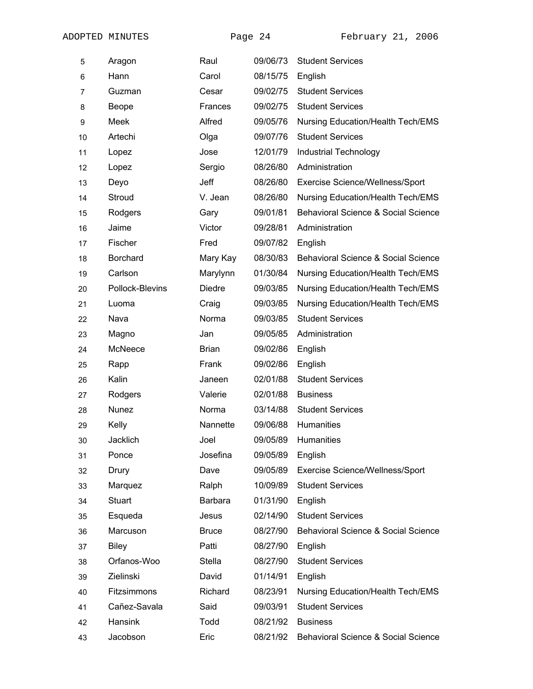| 5  | Aragon          | Raul           | 09/06/73 | <b>Student Services</b>                  |
|----|-----------------|----------------|----------|------------------------------------------|
| 6  | Hann            | Carol          | 08/15/75 | English                                  |
| 7  | Guzman          | Cesar          | 09/02/75 | <b>Student Services</b>                  |
| 8  | Beope           | <b>Frances</b> | 09/02/75 | <b>Student Services</b>                  |
| 9  | Meek            | Alfred         | 09/05/76 | Nursing Education/Health Tech/EMS        |
| 10 | Artechi         | Olga           | 09/07/76 | <b>Student Services</b>                  |
| 11 | Lopez           | Jose           | 12/01/79 | <b>Industrial Technology</b>             |
| 12 | Lopez           | Sergio         | 08/26/80 | Administration                           |
| 13 | Deyo            | Jeff           | 08/26/80 | Exercise Science/Wellness/Sport          |
| 14 | Stroud          | V. Jean        | 08/26/80 | <b>Nursing Education/Health Tech/EMS</b> |
| 15 | Rodgers         | Gary           | 09/01/81 | Behavioral Science & Social Science      |
| 16 | Jaime           | Victor         | 09/28/81 | Administration                           |
| 17 | Fischer         | Fred           | 09/07/82 | English                                  |
| 18 | Borchard        | Mary Kay       | 08/30/83 | Behavioral Science & Social Science      |
| 19 | Carlson         | Marylynn       | 01/30/84 | Nursing Education/Health Tech/EMS        |
| 20 | Pollock-Blevins | <b>Diedre</b>  | 09/03/85 | Nursing Education/Health Tech/EMS        |
| 21 | Luoma           | Craig          | 09/03/85 | Nursing Education/Health Tech/EMS        |
| 22 | Nava            | Norma          | 09/03/85 | <b>Student Services</b>                  |
| 23 | Magno           | Jan            | 09/05/85 | Administration                           |
| 24 | McNeece         | <b>Brian</b>   | 09/02/86 | English                                  |
| 25 | Rapp            | Frank          | 09/02/86 | English                                  |
| 26 | Kalin           | Janeen         | 02/01/88 | <b>Student Services</b>                  |
| 27 | Rodgers         | Valerie        | 02/01/88 | <b>Business</b>                          |
| 28 | Nunez           | Norma          | 03/14/88 | <b>Student Services</b>                  |
| 29 | Kelly           | Nannette       | 09/06/88 | Humanities                               |
| 30 | <b>Jacklich</b> | Joel           | 09/05/89 | Humanities                               |
| 31 | Ponce           | Josefina       | 09/05/89 | English                                  |
| 32 | Drury           | Dave           | 09/05/89 | Exercise Science/Wellness/Sport          |
| 33 | Marquez         | Ralph          | 10/09/89 | <b>Student Services</b>                  |
| 34 | <b>Stuart</b>   | <b>Barbara</b> | 01/31/90 | English                                  |
| 35 | Esqueda         | Jesus          | 02/14/90 | <b>Student Services</b>                  |
| 36 | Marcuson        | <b>Bruce</b>   | 08/27/90 | Behavioral Science & Social Science      |
| 37 | <b>Biley</b>    | Patti          | 08/27/90 | English                                  |
| 38 | Orfanos-Woo     | <b>Stella</b>  | 08/27/90 | <b>Student Services</b>                  |
| 39 | Zielinski       | David          | 01/14/91 | English                                  |
| 40 | Fitzsimmons     | Richard        | 08/23/91 | Nursing Education/Health Tech/EMS        |
| 41 | Cañez-Savala    | Said           | 09/03/91 | <b>Student Services</b>                  |
| 42 | Hansink         | Todd           | 08/21/92 | <b>Business</b>                          |
| 43 | Jacobson        | Eric           | 08/21/92 | Behavioral Science & Social Science      |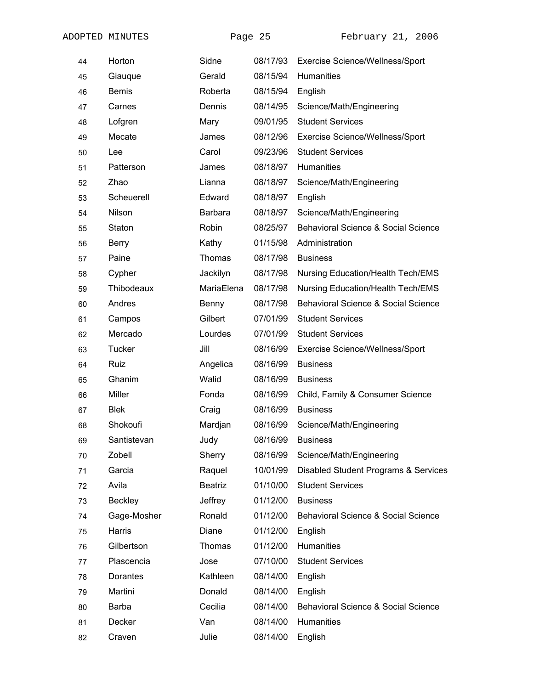| 44 | Horton       | Sidne          | 08/17/93 | <b>Exercise Science/Wellness/Sport</b>         |
|----|--------------|----------------|----------|------------------------------------------------|
| 45 | Giauque      | Gerald         | 08/15/94 | <b>Humanities</b>                              |
| 46 | <b>Bemis</b> | Roberta        | 08/15/94 | English                                        |
| 47 | Carnes       | Dennis         | 08/14/95 | Science/Math/Engineering                       |
| 48 | Lofgren      | Mary           | 09/01/95 | <b>Student Services</b>                        |
| 49 | Mecate       | James          | 08/12/96 | Exercise Science/Wellness/Sport                |
| 50 | Lee          | Carol          | 09/23/96 | <b>Student Services</b>                        |
| 51 | Patterson    | James          | 08/18/97 | Humanities                                     |
| 52 | Zhao         | Lianna         | 08/18/97 | Science/Math/Engineering                       |
| 53 | Scheuerell   | Edward         | 08/18/97 | English                                        |
| 54 | Nilson       | Barbara        | 08/18/97 | Science/Math/Engineering                       |
| 55 | Staton       | Robin          | 08/25/97 | Behavioral Science & Social Science            |
| 56 | <b>Berry</b> | Kathy          | 01/15/98 | Administration                                 |
| 57 | Paine        | Thomas         | 08/17/98 | <b>Business</b>                                |
| 58 | Cypher       | Jackilyn       | 08/17/98 | <b>Nursing Education/Health Tech/EMS</b>       |
| 59 | Thibodeaux   | MariaElena     | 08/17/98 | <b>Nursing Education/Health Tech/EMS</b>       |
| 60 | Andres       | Benny          | 08/17/98 | Behavioral Science & Social Science            |
| 61 | Campos       | Gilbert        | 07/01/99 | <b>Student Services</b>                        |
| 62 | Mercado      | Lourdes        | 07/01/99 | <b>Student Services</b>                        |
| 63 | Tucker       | Jill           | 08/16/99 | Exercise Science/Wellness/Sport                |
| 64 | Ruiz         | Angelica       | 08/16/99 | <b>Business</b>                                |
| 65 | Ghanim       | Walid          | 08/16/99 | <b>Business</b>                                |
| 66 | Miller       | Fonda          | 08/16/99 | Child, Family & Consumer Science               |
| 67 | <b>Blek</b>  | Craig          | 08/16/99 | <b>Business</b>                                |
| 68 | Shokoufi     | Mardjan        | 08/16/99 | Science/Math/Engineering                       |
| 69 | Santistevan  | Judy           | 08/16/99 | <b>Business</b>                                |
| 70 | Zobell       | Sherry         | 08/16/99 | Science/Math/Engineering                       |
| 71 | Garcia       | Raquel         | 10/01/99 | Disabled Student Programs & Services           |
| 72 | Avila        | <b>Beatriz</b> | 01/10/00 | <b>Student Services</b>                        |
| 73 | Beckley      | Jeffrey        | 01/12/00 | <b>Business</b>                                |
| 74 | Gage-Mosher  | Ronald         | 01/12/00 | Behavioral Science & Social Science            |
| 75 | Harris       | Diane          | 01/12/00 | English                                        |
| 76 | Gilbertson   | Thomas         | 01/12/00 | Humanities                                     |
| 77 | Plascencia   | Jose           | 07/10/00 | <b>Student Services</b>                        |
| 78 | Dorantes     | Kathleen       | 08/14/00 | English                                        |
| 79 | Martini      | Donald         | 08/14/00 | English                                        |
| 80 | <b>Barba</b> | Cecilia        | 08/14/00 | <b>Behavioral Science &amp; Social Science</b> |
| 81 | Decker       | Van            | 08/14/00 | Humanities                                     |
| 82 | Craven       | Julie          | 08/14/00 | English                                        |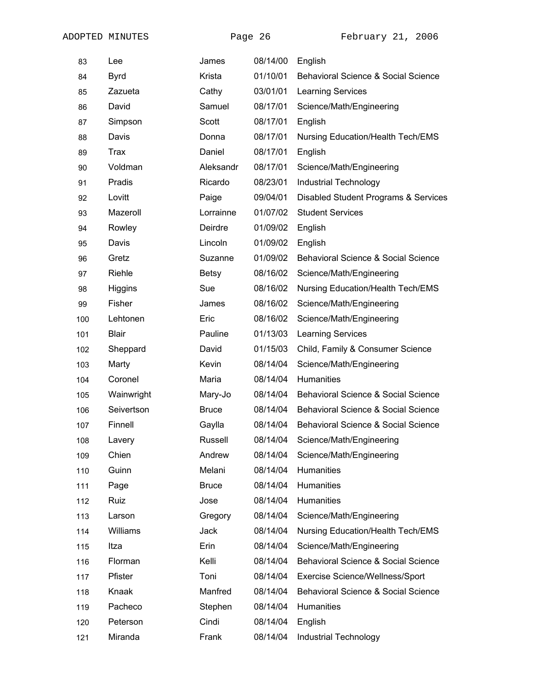| 83  | Lee          | James        | 08/14/00 | English                                        |  |
|-----|--------------|--------------|----------|------------------------------------------------|--|
| 84  | <b>Byrd</b>  | Krista       | 01/10/01 | Behavioral Science & Social Science            |  |
| 85  | Zazueta      | Cathy        | 03/01/01 | <b>Learning Services</b>                       |  |
| 86  | David        | Samuel       | 08/17/01 | Science/Math/Engineering                       |  |
| 87  | Simpson      | Scott        | 08/17/01 | English                                        |  |
| 88  | Davis        | Donna        | 08/17/01 | Nursing Education/Health Tech/EMS              |  |
| 89  | <b>Trax</b>  | Daniel       | 08/17/01 | English                                        |  |
| 90  | Voldman      | Aleksandr    | 08/17/01 | Science/Math/Engineering                       |  |
| 91  | Pradis       | Ricardo      | 08/23/01 | <b>Industrial Technology</b>                   |  |
| 92  | Lovitt       | Paige        | 09/04/01 | Disabled Student Programs & Services           |  |
| 93  | Mazeroll     | Lorrainne    | 01/07/02 | <b>Student Services</b>                        |  |
| 94  | Rowley       | Deirdre      | 01/09/02 | English                                        |  |
| 95  | Davis        | Lincoln      | 01/09/02 | English                                        |  |
| 96  | Gretz        | Suzanne      | 01/09/02 | Behavioral Science & Social Science            |  |
| 97  | Riehle       | <b>Betsy</b> | 08/16/02 | Science/Math/Engineering                       |  |
| 98  | Higgins      | Sue          | 08/16/02 | <b>Nursing Education/Health Tech/EMS</b>       |  |
| 99  | Fisher       | James        | 08/16/02 | Science/Math/Engineering                       |  |
| 100 | Lehtonen     | Eric         | 08/16/02 | Science/Math/Engineering                       |  |
| 101 | <b>Blair</b> | Pauline      | 01/13/03 | <b>Learning Services</b>                       |  |
| 102 | Sheppard     | David        | 01/15/03 | Child, Family & Consumer Science               |  |
| 103 | Marty        | Kevin        | 08/14/04 | Science/Math/Engineering                       |  |
| 104 | Coronel      | Maria        | 08/14/04 | Humanities                                     |  |
| 105 | Wainwright   | Mary-Jo      | 08/14/04 | Behavioral Science & Social Science            |  |
| 106 | Seivertson   | <b>Bruce</b> | 08/14/04 | Behavioral Science & Social Science            |  |
| 107 | Finnell      | Gaylla       | 08/14/04 | <b>Behavioral Science &amp; Social Science</b> |  |
| 108 | Lavery       | Russell      | 08/14/04 | Science/Math/Engineering                       |  |
| 109 | Chien        | Andrew       | 08/14/04 | Science/Math/Engineering                       |  |
| 110 | Guinn        | Melani       | 08/14/04 | <b>Humanities</b>                              |  |
| 111 | Page         | <b>Bruce</b> | 08/14/04 | Humanities                                     |  |
| 112 | Ruiz         | Jose         | 08/14/04 | Humanities                                     |  |
| 113 | Larson       | Gregory      | 08/14/04 | Science/Math/Engineering                       |  |
| 114 | Williams     | Jack         | 08/14/04 | <b>Nursing Education/Health Tech/EMS</b>       |  |
| 115 | Itza         | Erin         | 08/14/04 | Science/Math/Engineering                       |  |
| 116 | Florman      | Kelli        | 08/14/04 | <b>Behavioral Science &amp; Social Science</b> |  |
| 117 | Pfister      | Toni         | 08/14/04 | Exercise Science/Wellness/Sport                |  |
| 118 | Knaak        | Manfred      | 08/14/04 | <b>Behavioral Science &amp; Social Science</b> |  |
| 119 | Pacheco      | Stephen      | 08/14/04 | Humanities                                     |  |
| 120 | Peterson     | Cindi        | 08/14/04 | English                                        |  |
| 121 | Miranda      | Frank        | 08/14/04 | Industrial Technology                          |  |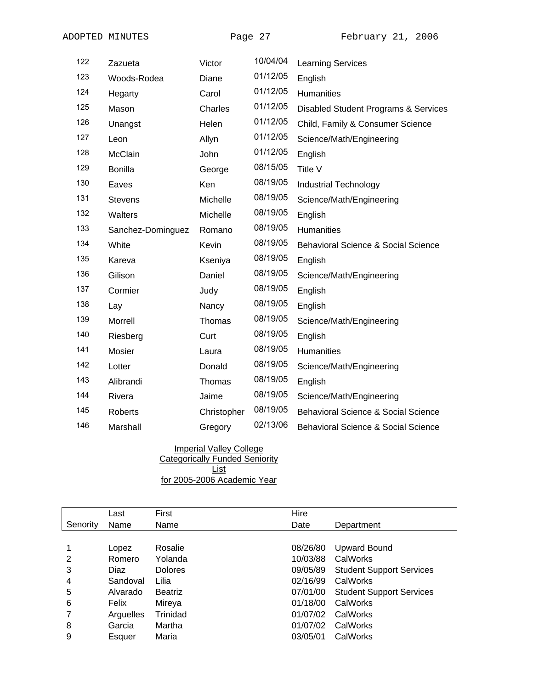| 122 | Zazueta           | Victor      | 10/04/04 | <b>Learning Services</b>                       |
|-----|-------------------|-------------|----------|------------------------------------------------|
| 123 | Woods-Rodea       | Diane       | 01/12/05 | English                                        |
| 124 | Hegarty           | Carol       | 01/12/05 | Humanities                                     |
| 125 | Mason             | Charles     | 01/12/05 | Disabled Student Programs & Services           |
| 126 | Unangst           | Helen       | 01/12/05 | Child, Family & Consumer Science               |
| 127 | Leon              | Allyn       | 01/12/05 | Science/Math/Engineering                       |
| 128 | McClain           | John        | 01/12/05 | English                                        |
| 129 | <b>Bonilla</b>    | George      | 08/15/05 | Title V                                        |
| 130 | Eaves             | Ken         | 08/19/05 | Industrial Technology                          |
| 131 | <b>Stevens</b>    | Michelle    | 08/19/05 | Science/Math/Engineering                       |
| 132 | Walters           | Michelle    | 08/19/05 | English                                        |
| 133 | Sanchez-Dominguez | Romano      | 08/19/05 | <b>Humanities</b>                              |
| 134 | White             | Kevin       | 08/19/05 | <b>Behavioral Science &amp; Social Science</b> |
| 135 | Kareva            | Kseniya     | 08/19/05 | English                                        |
| 136 | Gilison           | Daniel      | 08/19/05 | Science/Math/Engineering                       |
| 137 | Cormier           | Judy        | 08/19/05 | English                                        |
| 138 | Lay               | Nancy       | 08/19/05 | English                                        |
| 139 | Morrell           | Thomas      | 08/19/05 | Science/Math/Engineering                       |
| 140 | Riesberg          | Curt        | 08/19/05 | English                                        |
| 141 | Mosier            | Laura       | 08/19/05 | <b>Humanities</b>                              |
| 142 | Lotter            | Donald      | 08/19/05 | Science/Math/Engineering                       |
| 143 | Alibrandi         | Thomas      | 08/19/05 | English                                        |
| 144 | Rivera            | Jaime       | 08/19/05 | Science/Math/Engineering                       |
| 145 | <b>Roberts</b>    | Christopher | 08/19/05 | <b>Behavioral Science &amp; Social Science</b> |
| 146 | Marshall          | Gregory     | 02/13/06 | <b>Behavioral Science &amp; Social Science</b> |

 Imperial Valley College Categorically Funded Seniority List for 2005-2006 Academic Year

Last First Hire Senority Name Name **Contains According Contains According Contains According Contains According Contains According Contains According Operatment** 1 Lopez Rosalie 08/26/80 Upward Bound 2 Romero Yolanda 10/03/88 CalWorks 3 Diaz Dolores 09/05/89 Student Support Services 4 Sandoval Lilia 02/16/99 CalWorks 5 Alvarado Beatriz 07/01/00 Student Support Services 6 Felix Mireya 01/18/00 CalWorks 7 Arguelles Trinidad 01/07/02 CalWorks 8 Garcia Martha 01/07/02 CalWorks 9 Esquer Maria 03/05/01 CalWorks